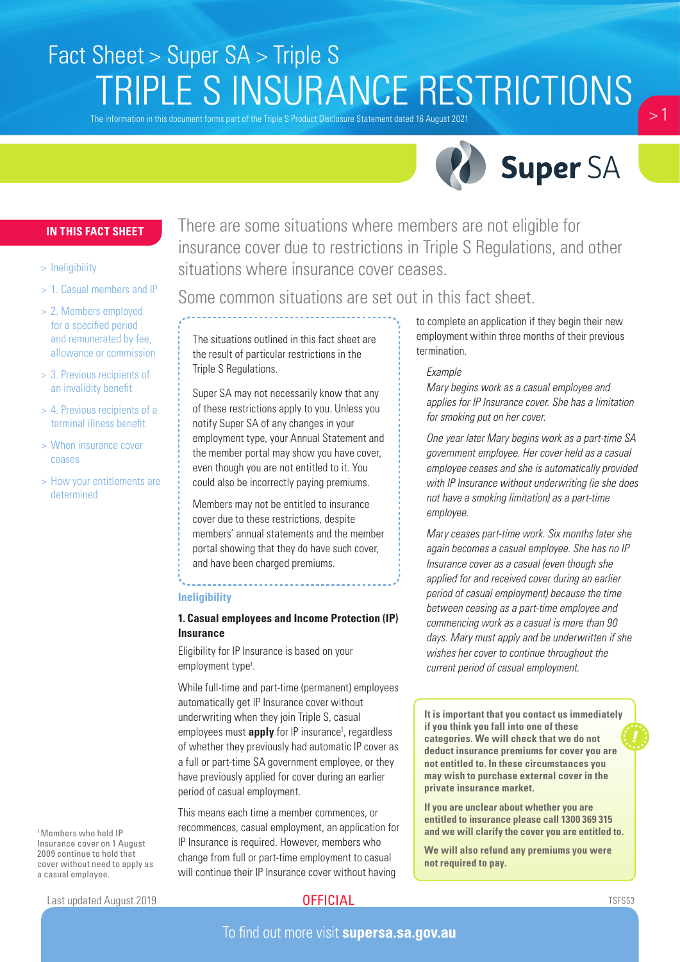# Fact Sheet > Super SA > Triple S TRIPLE S INSURANCE RESTRICTIONS

The information in this document forms part of the Triple S Product Disclosure Statement dated 16 August 2021



 $\sim$  1

## **IN THIS FACT SHEET**

#### > Ineligibility

- > 1. Casual members and IP
- > 2. Members employed for a specified period and remunerated by fee, allowance or commission
- > 3. Previous recipients of an invalidity benefit
- > 4. Previous recipients of a terminal illness benefit
- > When insurance cover ceases
- > How your entitlements are determined

There are some situations where members are not eligible for insurance cover due to restrictions in Triple S Regulations, and other situations where insurance cover ceases.

# Some common situations are set out in this fact sheet.

The situations outlined in this fact sheet are the result of particular restrictions in the Triple S Regulations.

Super SA may not necessarily know that any of these restrictions apply to you. Unless you notify Super SA of any changes in your employment type, your Annual Statement and the member portal may show you have cover, even though you are not entitled to it. You could also be incorrectly paying premiums.

Members may not be entitled to insurance cover due to these restrictions, despite members' annual statements and the member portal showing that they do have such cover, and have been charged premiums.

#### **Ineligibility**

### **1. Casual employees and Income Protection (IP) Insurance**

Eligibility for IP Insurance is based on your employment type<sup>1</sup>.

While full-time and part-time (permanent) employees automatically get IP Insurance cover without underwriting when they join Triple S, casual employees must **apply** for IP insurance<sup>1</sup>, regardless of whether they previously had automatic IP cover as a full or part-time SA government employee, or they have previously applied for cover during an earlier period of casual employment.

This means each time a member commences, or recommences, casual employment, an application for IP Insurance is required. However, members who change from full or part-time employment to casual will continue their IP Insurance cover without having

to complete an application if they begin their new employment within three months of their previous termination.

#### *Example*

*Mary begins work as a casual employee and applies for IP Insurance cover. She has a limitation for smoking put on her cover.*

*One year later Mary begins work as a part-time SA government employee. Her cover held as a casual employee ceases and she is automatically provided with IP Insurance without underwriting (ie she does not have a smoking limitation) as a part-time employee.*

*Mary ceases part-time work. Six months later she again becomes a casual employee. She has no IP Insurance cover as a casual (even though she applied for and received cover during an earlier period of casual employment) because the time between ceasing as a part-time employee and commencing work as a casual is more than 90 days. Mary must apply and be underwritten if she wishes her cover to continue throughout the current period of casual employment.*

**It is important that you contact us immediately if you think you fall into one of these categories. We will check that we do not deduct insurance premiums for cover you are not entitled to. In these circumstances you may wish to purchase external cover in the private insurance market.** 

**If you are unclear about whether you are entitled to insurance please call 1300 369 315 and we will clarify the cover you are entitled to.** 

**We will also refund any premiums you were not required to pay.**

Last updated August 2019

1 Members who held IP Insurance cover on 1 August 2009 continue to hold that cover without need to apply as

a casual employee.

# **OFFICIAL**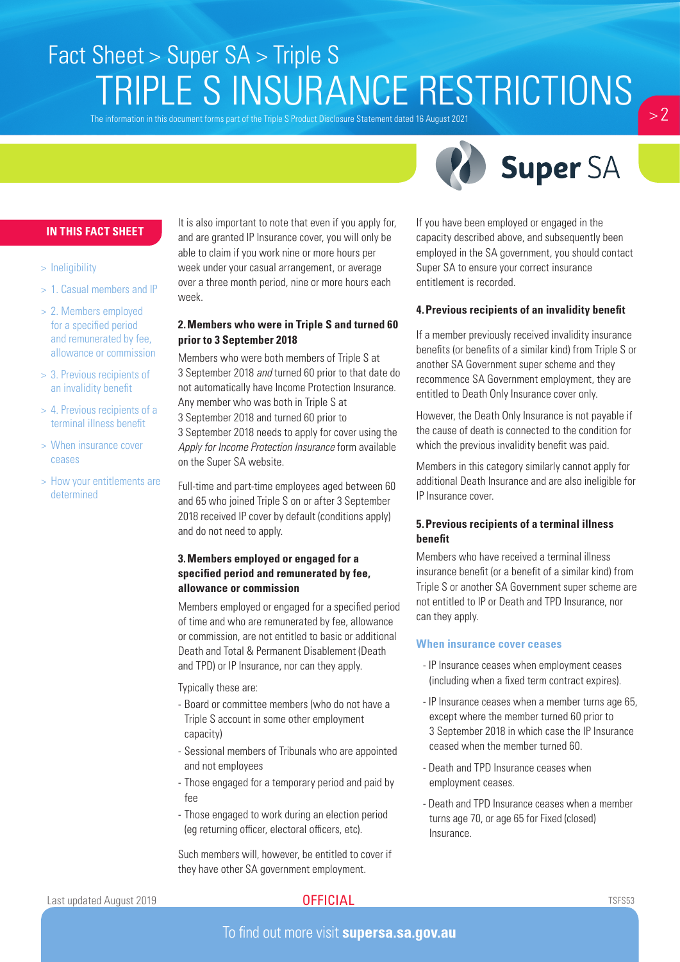# Fact Sheet > Super SA > Triple S TRIPLE S INSURANCE RESTRICTIONS

The information in this document forms part of the Triple S Product Disclosure Statement dated 16 August 2021



 $> 2$ 

### **IN THIS FACT SHEET**

#### > Ineligibility

- > 1. Casual members and IP
- > 2. Members employed for a specified period and remunerated by fee, allowance or commission
- > 3. Previous recipients of an invalidity benefit
- > 4. Previous recipients of a terminal illness benefit
- > When insurance cover ceases
- > How your entitlements are determined

It is also important to note that even if you apply for, and are granted IP Insurance cover, you will only be able to claim if you work nine or more hours per week under your casual arrangement, or average over a three month period, nine or more hours each week.

### **2.Members who were in Triple S and turned 60 prior to 3 September 2018**

Members who were both members of Triple S at 3 September 2018 *and* turned 60 prior to that date do not automatically have Income Protection Insurance. Any member who was both in Triple S at 3 September 2018 and turned 60 prior to 3 September 2018 needs to apply for cover using the *Apply for Income Protection Insurance* form available on the Super SA website.

Full-time and part-time employees aged between 60 and 65 who joined Triple S on or after 3 September 2018 received IP cover by default (conditions apply) and do not need to apply.

# **3.Members employed or engaged for a specified period and remunerated by fee, allowance or commission**

Members employed or engaged for a specified period of time and who are remunerated by fee, allowance or commission, are not entitled to basic or additional Death and Total & Permanent Disablement (Death and TPD) or IP Insurance, nor can they apply.

Typically these are:

- Board or committee members (who do not have a Triple S account in some other employment capacity)
- Sessional members of Tribunals who are appointed and not employees
- Those engaged for a temporary period and paid by fee
- Those engaged to work during an election period (eg returning officer, electoral officers, etc).

Such members will, however, be entitled to cover if they have other SA government employment.

If you have been employed or engaged in the capacity described above, and subsequently been employed in the SA government, you should contact Super SA to ensure your correct insurance entitlement is recorded.

#### **4.Previous recipients of an invalidity benefit**

If a member previously received invalidity insurance benefits (or benefits of a similar kind) from Triple S or another SA Government super scheme and they recommence SA Government employment, they are entitled to Death Only Insurance cover only.

However, the Death Only Insurance is not payable if the cause of death is connected to the condition for which the previous invalidity benefit was paid.

Members in this category similarly cannot apply for additional Death Insurance and are also ineligible for IP Insurance cover.

## **5.Previous recipients of a terminal illness benefit**

Members who have received a terminal illness insurance benefit (or a benefit of a similar kind) from Triple S or another SA Government super scheme are not entitled to IP or Death and TPD Insurance, nor can they apply.

#### **When insurance cover ceases**

- IP Insurance ceases when employment ceases (including when a fixed term contract expires).
- IP Insurance ceases when a member turns age 65, except where the member turned 60 prior to 3 September 2018 in which case the IP Insurance ceased when the member turned 60.
- Death and TPD Insurance ceases when employment ceases.
- Death and TPD Insurance ceases when a member turns age 70, or age 65 for Fixed (closed) Insurance.

Last updated August 2019

# **OFFICIAL**